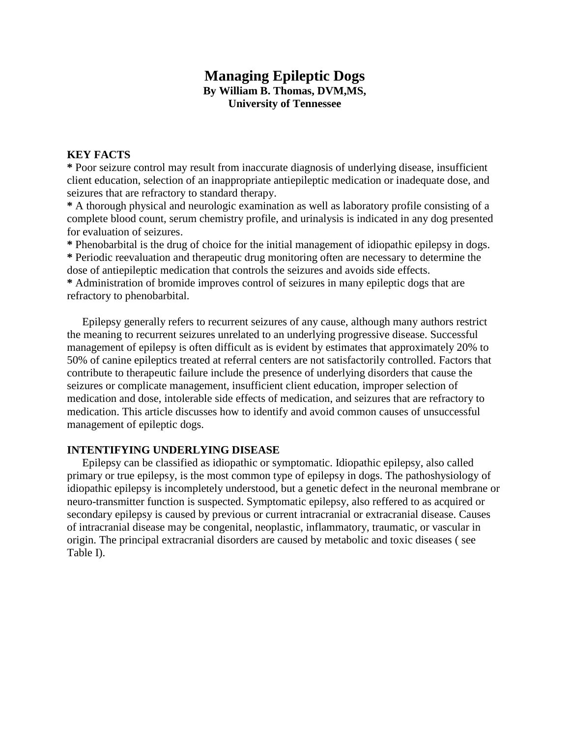# **Managing Epileptic Dogs By William B. Thomas, DVM,MS,**

**University of Tennessee**

# **KEY FACTS**

**\*** Poor seizure control may result from inaccurate diagnosis of underlying disease, insufficient client education, selection of an inappropriate antiepileptic medication or inadequate dose, and seizures that are refractory to standard therapy.

**\*** A thorough physical and neurologic examination as well as laboratory profile consisting of a complete blood count, serum chemistry profile, and urinalysis is indicated in any dog presented for evaluation of seizures.

**\*** Phenobarbital is the drug of choice for the initial management of idiopathic epilepsy in dogs. **\*** Periodic reevaluation and therapeutic drug monitoring often are necessary to determine the dose of antiepileptic medication that controls the seizures and avoids side effects.

**\*** Administration of bromide improves control of seizures in many epileptic dogs that are refractory to phenobarbital.

Epilepsy generally refers to recurrent seizures of any cause, although many authors restrict the meaning to recurrent seizures unrelated to an underlying progressive disease. Successful management of epilepsy is often difficult as is evident by estimates that approximately 20% to 50% of canine epileptics treated at referral centers are not satisfactorily controlled. Factors that contribute to therapeutic failure include the presence of underlying disorders that cause the seizures or complicate management, insufficient client education, improper selection of medication and dose, intolerable side effects of medication, and seizures that are refractory to medication. This article discusses how to identify and avoid common causes of unsuccessful management of epileptic dogs.

# **INTENTIFYING UNDERLYING DISEASE**

Epilepsy can be classified as idiopathic or symptomatic. Idiopathic epilepsy, also called primary or true epilepsy, is the most common type of epilepsy in dogs. The pathoshysiology of idiopathic epilepsy is incompletely understood, but a genetic defect in the neuronal membrane or neuro-transmitter function is suspected. Symptomatic epilepsy, also reffered to as acquired or secondary epilepsy is caused by previous or current intracranial or extracranial disease. Causes of intracranial disease may be congenital, neoplastic, inflammatory, traumatic, or vascular in origin. The principal extracranial disorders are caused by metabolic and toxic diseases ( see Table I).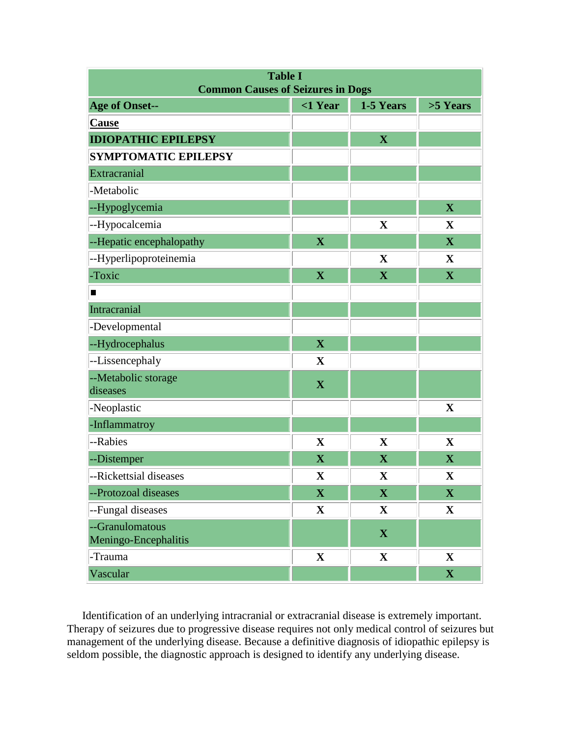| <b>Table I</b><br><b>Common Causes of Seizures in Dogs</b> |                         |                         |                         |  |
|------------------------------------------------------------|-------------------------|-------------------------|-------------------------|--|
| <b>Age of Onset--</b>                                      | $<$ 1 Year              | 1-5 Years               | >5 Years                |  |
| Cause                                                      |                         |                         |                         |  |
| <b>IDIOPATHIC EPILEPSY</b>                                 |                         | $\overline{\mathbf{X}}$ |                         |  |
| <b>SYMPTOMATIC EPILEPSY</b>                                |                         |                         |                         |  |
| Extracranial                                               |                         |                         |                         |  |
| -Metabolic                                                 |                         |                         |                         |  |
| --Hypoglycemia                                             |                         |                         | $\mathbf X$             |  |
| --Hypocalcemia                                             |                         | $\mathbf X$             | $\mathbf{X}$            |  |
| --Hepatic encephalopathy                                   | $\mathbf X$             |                         | $\overline{\mathbf{X}}$ |  |
| --Hyperlipoproteinemia                                     |                         | $\mathbf X$             | X                       |  |
| -Toxic                                                     | $\mathbf X$             | $\overline{\mathbf{X}}$ | $\overline{\mathbf{X}}$ |  |
| П                                                          |                         |                         |                         |  |
| Intracranial                                               |                         |                         |                         |  |
| -Developmental                                             |                         |                         |                         |  |
| --Hydrocephalus                                            | $\overline{\mathbf{X}}$ |                         |                         |  |
| --Lissencephaly                                            | $\mathbf X$             |                         |                         |  |
| --Metabolic storage<br>diseases                            | $\mathbf X$             |                         |                         |  |
| -Neoplastic                                                |                         |                         | $\mathbf X$             |  |
| -Inflammatroy                                              |                         |                         |                         |  |
| --Rabies                                                   | $\mathbf X$             | $\mathbf X$             | $\mathbf{X}$            |  |
| --Distemper                                                | $\mathbf X$             | $\mathbf X$             | $\mathbf X$             |  |
| --Rickettsial diseases                                     | $\mathbf X$             | $\mathbf X$             | $\mathbf X$             |  |
| --Protozoal diseases                                       | $\mathbf X$             | $\mathbf{X}$            | $\mathbf{X}$            |  |
| --Fungal diseases                                          | $\mathbf X$             | $\mathbf X$             | $\mathbf{X}$            |  |
| --Granulomatous<br>Meningo-Encephalitis                    |                         | $\mathbf{X}$            |                         |  |
| -Trauma                                                    | $\mathbf X$             | $\mathbf{X}$            | $\mathbf{X}$            |  |
| Vascular                                                   |                         |                         | $\mathbf X$             |  |

Identification of an underlying intracranial or extracranial disease is extremely important. Therapy of seizures due to progressive disease requires not only medical control of seizures but management of the underlying disease. Because a definitive diagnosis of idiopathic epilepsy is seldom possible, the diagnostic approach is designed to identify any underlying disease.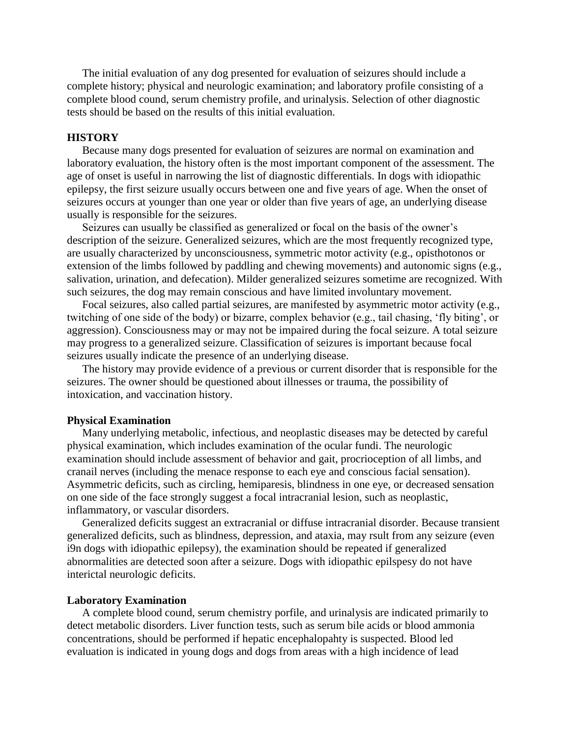The initial evaluation of any dog presented for evaluation of seizures should include a complete history; physical and neurologic examination; and laboratory profile consisting of a complete blood cound, serum chemistry profile, and urinalysis. Selection of other diagnostic tests should be based on the results of this initial evaluation.

#### **HISTORY**

Because many dogs presented for evaluation of seizures are normal on examination and laboratory evaluation, the history often is the most important component of the assessment. The age of onset is useful in narrowing the list of diagnostic differentials. In dogs with idiopathic epilepsy, the first seizure usually occurs between one and five years of age. When the onset of seizures occurs at younger than one year or older than five years of age, an underlying disease usually is responsible for the seizures.

Seizures can usually be classified as generalized or focal on the basis of the owner's description of the seizure. Generalized seizures, which are the most frequently recognized type, are usually characterized by unconsciousness, symmetric motor activity (e.g., opisthotonos or extension of the limbs followed by paddling and chewing movements) and autonomic signs (e.g., salivation, urination, and defecation). Milder generalized seizures sometime are recognized. With such seizures, the dog may remain conscious and have limited involuntary movement.

Focal seizures, also called partial seizures, are manifested by asymmetric motor activity (e.g., twitching of one side of the body) or bizarre, complex behavior (e.g., tail chasing, 'fly biting', or aggression). Consciousness may or may not be impaired during the focal seizure. A total seizure may progress to a generalized seizure. Classification of seizures is important because focal seizures usually indicate the presence of an underlying disease.

The history may provide evidence of a previous or current disorder that is responsible for the seizures. The owner should be questioned about illnesses or trauma, the possibility of intoxication, and vaccination history.

#### **Physical Examination**

Many underlying metabolic, infectious, and neoplastic diseases may be detected by careful physical examination, which includes examination of the ocular fundi. The neurologic examination should include assessment of behavior and gait, procrioception of all limbs, and cranail nerves (including the menace response to each eye and conscious facial sensation). Asymmetric deficits, such as circling, hemiparesis, blindness in one eye, or decreased sensation on one side of the face strongly suggest a focal intracranial lesion, such as neoplastic, inflammatory, or vascular disorders.

Generalized deficits suggest an extracranial or diffuse intracranial disorder. Because transient generalized deficits, such as blindness, depression, and ataxia, may rsult from any seizure (even i9n dogs with idiopathic epilepsy), the examination should be repeated if generalized abnormalities are detected soon after a seizure. Dogs with idiopathic epilspesy do not have interictal neurologic deficits.

#### **Laboratory Examination**

A complete blood cound, serum chemistry porfile, and urinalysis are indicated primarily to detect metabolic disorders. Liver function tests, such as serum bile acids or blood ammonia concentrations, should be performed if hepatic encephalopahty is suspected. Blood led evaluation is indicated in young dogs and dogs from areas with a high incidence of lead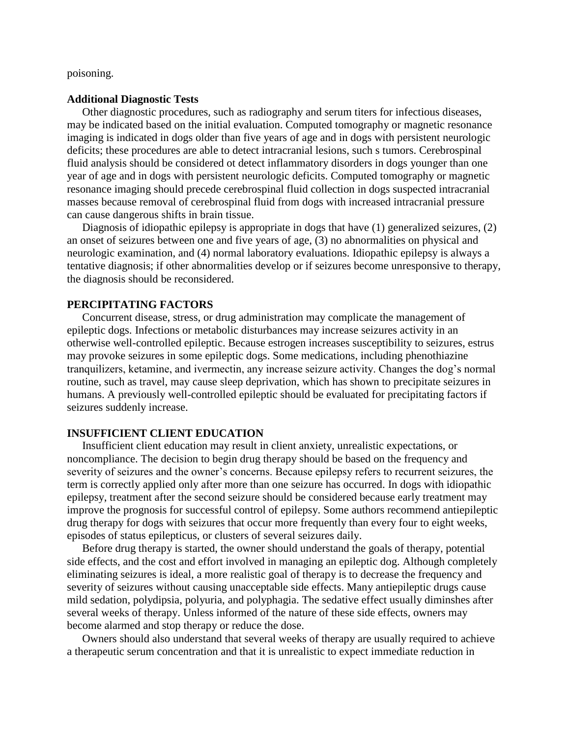poisoning.

#### **Additional Diagnostic Tests**

Other diagnostic procedures, such as radiography and serum titers for infectious diseases, may be indicated based on the initial evaluation. Computed tomography or magnetic resonance imaging is indicated in dogs older than five years of age and in dogs with persistent neurologic deficits; these procedures are able to detect intracranial lesions, such s tumors. Cerebrospinal fluid analysis should be considered ot detect inflammatory disorders in dogs younger than one year of age and in dogs with persistent neurologic deficits. Computed tomography or magnetic resonance imaging should precede cerebrospinal fluid collection in dogs suspected intracranial masses because removal of cerebrospinal fluid from dogs with increased intracranial pressure can cause dangerous shifts in brain tissue.

Diagnosis of idiopathic epilepsy is appropriate in dogs that have (1) generalized seizures, (2) an onset of seizures between one and five years of age, (3) no abnormalities on physical and neurologic examination, and (4) normal laboratory evaluations. Idiopathic epilepsy is always a tentative diagnosis; if other abnormalities develop or if seizures become unresponsive to therapy, the diagnosis should be reconsidered.

#### **PERCIPITATING FACTORS**

Concurrent disease, stress, or drug administration may complicate the management of epileptic dogs. Infections or metabolic disturbances may increase seizures activity in an otherwise well-controlled epileptic. Because estrogen increases susceptibility to seizures, estrus may provoke seizures in some epileptic dogs. Some medications, including phenothiazine tranquilizers, ketamine, and ivermectin, any increase seizure activity. Changes the dog's normal routine, such as travel, may cause sleep deprivation, which has shown to precipitate seizures in humans. A previously well-controlled epileptic should be evaluated for precipitating factors if seizures suddenly increase.

#### **INSUFFICIENT CLIENT EDUCATION**

Insufficient client education may result in client anxiety, unrealistic expectations, or noncompliance. The decision to begin drug therapy should be based on the frequency and severity of seizures and the owner's concerns. Because epilepsy refers to recurrent seizures, the term is correctly applied only after more than one seizure has occurred. In dogs with idiopathic epilepsy, treatment after the second seizure should be considered because early treatment may improve the prognosis for successful control of epilepsy. Some authors recommend antiepileptic drug therapy for dogs with seizures that occur more frequently than every four to eight weeks, episodes of status epilepticus, or clusters of several seizures daily.

Before drug therapy is started, the owner should understand the goals of therapy, potential side effects, and the cost and effort involved in managing an epileptic dog. Although completely eliminating seizures is ideal, a more realistic goal of therapy is to decrease the frequency and severity of seizures without causing unacceptable side effects. Many antiepileptic drugs cause mild sedation, polydipsia, polyuria, and polyphagia. The sedative effect usually diminshes after several weeks of therapy. Unless informed of the nature of these side effects, owners may become alarmed and stop therapy or reduce the dose.

Owners should also understand that several weeks of therapy are usually required to achieve a therapeutic serum concentration and that it is unrealistic to expect immediate reduction in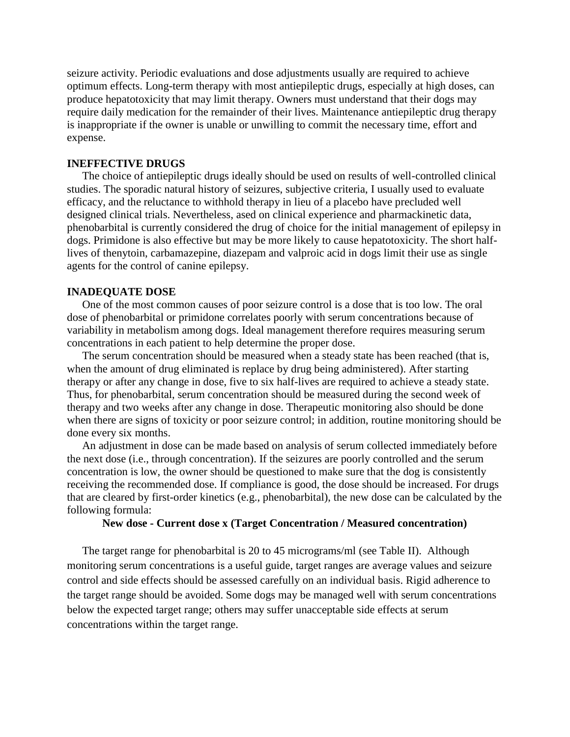seizure activity. Periodic evaluations and dose adjustments usually are required to achieve optimum effects. Long-term therapy with most antiepileptic drugs, especially at high doses, can produce hepatotoxicity that may limit therapy. Owners must understand that their dogs may require daily medication for the remainder of their lives. Maintenance antiepileptic drug therapy is inappropriate if the owner is unable or unwilling to commit the necessary time, effort and expense.

# **INEFFECTIVE DRUGS**

The choice of antiepileptic drugs ideally should be used on results of well-controlled clinical studies. The sporadic natural history of seizures, subjective criteria, I usually used to evaluate efficacy, and the reluctance to withhold therapy in lieu of a placebo have precluded well designed clinical trials. Nevertheless, ased on clinical experience and pharmackinetic data, phenobarbital is currently considered the drug of choice for the initial management of epilepsy in dogs. Primidone is also effective but may be more likely to cause hepatotoxicity. The short halflives of thenytoin, carbamazepine, diazepam and valproic acid in dogs limit their use as single agents for the control of canine epilepsy.

#### **INADEQUATE DOSE**

One of the most common causes of poor seizure control is a dose that is too low. The oral dose of phenobarbital or primidone correlates poorly with serum concentrations because of variability in metabolism among dogs. Ideal management therefore requires measuring serum concentrations in each patient to help determine the proper dose.

The serum concentration should be measured when a steady state has been reached (that is, when the amount of drug eliminated is replace by drug being administered). After starting therapy or after any change in dose, five to six half-lives are required to achieve a steady state. Thus, for phenobarbital, serum concentration should be measured during the second week of therapy and two weeks after any change in dose. Therapeutic monitoring also should be done when there are signs of toxicity or poor seizure control; in addition, routine monitoring should be done every six months.

An adjustment in dose can be made based on analysis of serum collected immediately before the next dose (i.e., through concentration). If the seizures are poorly controlled and the serum concentration is low, the owner should be questioned to make sure that the dog is consistently receiving the recommended dose. If compliance is good, the dose should be increased. For drugs that are cleared by first-order kinetics (e.g., phenobarbital), the new dose can be calculated by the following formula:

## **New dose - Current dose x (Target Concentration / Measured concentration)**

The target range for phenobarbital is 20 to 45 micrograms/ml (see Table II). Although monitoring serum concentrations is a useful guide, target ranges are average values and seizure control and side effects should be assessed carefully on an individual basis. Rigid adherence to the target range should be avoided. Some dogs may be managed well with serum concentrations below the expected target range; others may suffer unacceptable side effects at serum concentrations within the target range.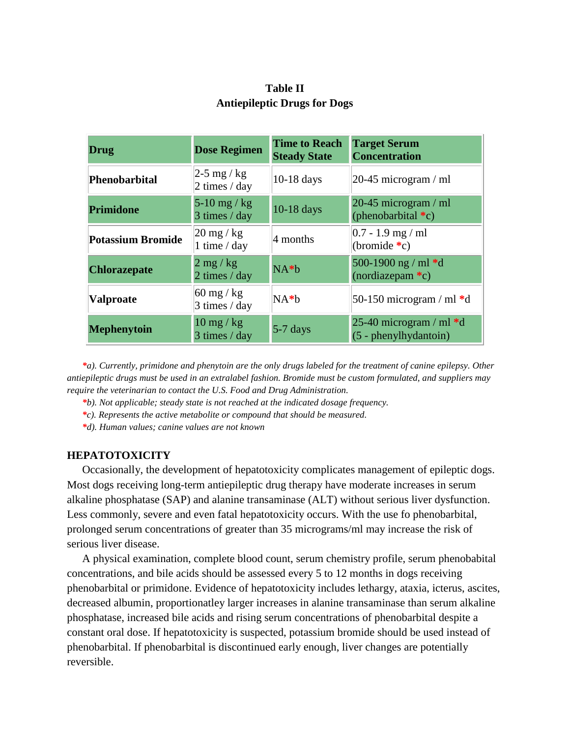| Drug                     | <b>Dose Regimen</b>                                        | <b>Time to Reach</b><br><b>Steady State</b> | <b>Target Serum</b><br><b>Concentration</b>          |  |
|--------------------------|------------------------------------------------------------|---------------------------------------------|------------------------------------------------------|--|
| <b>Phenobarbital</b>     | $2-5$ mg / kg<br>2 times / day                             | $10-18$ days                                | $ 20-45$ microgram / ml                              |  |
| Primidone                | $5-10$ mg / kg<br>3 times / day                            | 10-18 days                                  | 20-45 microgram / ml<br>(phenobarbital $C$ )         |  |
| <b>Potassium Bromide</b> | $\left 20 \right  \text{mg} / \text{kg}$<br>1 time $/$ day | 4 months                                    | $0.7 - 1.9$ mg / ml<br>(bromide $\ast c$ )           |  |
| <b>Chlorazepate</b>      | $2$ mg / kg<br>2 times / day                               | $NA*b$                                      | 500-1900 ng / ml $*d$<br>(nordiazepam $C$ )          |  |
| <b>Valproate</b>         | $60 \text{ mg} / \text{kg}$<br>$3 \times / day$            | $NA*b$                                      | 50-150 microgram / ml $*d$                           |  |
| <b>Mephenytoin</b>       | $10 \text{ mg} / \text{kg}$<br>3 times / day               | $5-7$ days                                  | 25-40 microgram / ml $*d$<br>$(5 - phenylhydantoin)$ |  |

# **Table II Antiepileptic Drugs for Dogs**

*\*a). Currently, primidone and phenytoin are the only drugs labeled for the treatment of canine epilepsy. Other antiepileptic drugs must be used in an extralabel fashion. Bromide must be custom formulated, and suppliers may require the veterinarian to contact the U.S. Food and Drug Administration.*

- *\*b). Not applicable; steady state is not reached at the indicated dosage frequency.*
- *\*c). Represents the active metabolite or compound that should be measured.*
- *\*d). Human values; canine values are not known*

## **HEPATOTOXICITY**

Occasionally, the development of hepatotoxicity complicates management of epileptic dogs. Most dogs receiving long-term antiepileptic drug therapy have moderate increases in serum alkaline phosphatase (SAP) and alanine transaminase (ALT) without serious liver dysfunction. Less commonly, severe and even fatal hepatotoxicity occurs. With the use fo phenobarbital, prolonged serum concentrations of greater than 35 micrograms/ml may increase the risk of serious liver disease.

A physical examination, complete blood count, serum chemistry profile, serum phenobabital concentrations, and bile acids should be assessed every 5 to 12 months in dogs receiving phenobarbital or primidone. Evidence of hepatotoxicity includes lethargy, ataxia, icterus, ascites, decreased albumin, proportionatley larger increases in alanine transaminase than serum alkaline phosphatase, increased bile acids and rising serum concentrations of phenobarbital despite a constant oral dose. If hepatotoxicity is suspected, potassium bromide should be used instead of phenobarbital. If phenobarbital is discontinued early enough, liver changes are potentially reversible.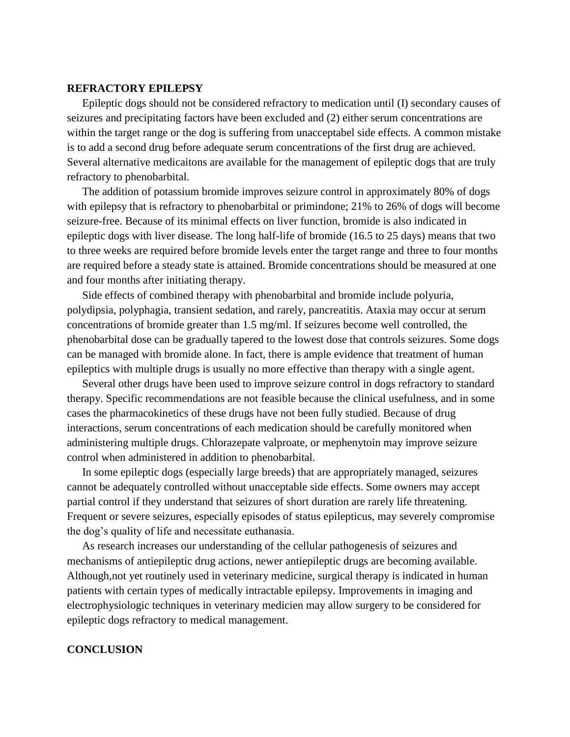# **REFRACTORY EPILEPSY**

Epileptic dogs should not be considered refractory to medication until (I) secondary causes of seizures and precipitating factors have been excluded and (2) either serum concentrations are within the target range or the dog is suffering from unacceptabel side effects. A common mistake is to add a second drug before adequate serum concentrations of the first drug are achieved. Several alternative medicaitons are available for the management of epileptic dogs that are truly refractory to phenobarbital.

The addition of potassium bromide improves seizure control in approximately 80% of dogs with epilepsy that is refractory to phenobarbital or primindone; 21% to 26% of dogs will become seizure-free. Because of its minimal effects on liver function, bromide is also indicated in epileptic dogs with liver disease. The long half-life of bromide (16.5 to 25 days) means that two to three weeks are required before bromide levels enter the target range and three to four months are required before a steady state is attained. Bromide concentrations should be measured at one and four months after initiating therapy.

Side effects of combined therapy with phenobarbital and bromide include polyuria, polydipsia, polyphagia, transient sedation, and rarely, pancreatitis. Ataxia may occur at serum concentrations of bromide greater than 1.5 mg/ml. If seizures become well controlled, the phenobarbital dose can be gradually tapered to the lowest dose that controls seizures. Some dogs can be managed with bromide alone. In fact, there is ample evidence that treatment of human epileptics with multiple drugs is usually no more effective than therapy with a single agent.

Several other drugs have been used to improve seizure control in dogs refractory to standard therapy. Specific recommendations are not feasible because the clinical usefulness, and in some cases the pharmacokinetics of these drugs have not been fully studied. Because of drug interactions, serum concentrations of each medication should be carefully monitored when administering multiple drugs. Chlorazepate valproate, or mephenytoin may improve seizure control when administered in addition to phenobarbital.

In some epileptic dogs (especially large breeds) that are appropriately managed, seizures cannot be adequately controlled without unacceptable side effects. Some owners may accept partial control if they understand that seizures of short duration are rarely life threatening. Frequent or severe seizures, especially episodes of status epilepticus, may severely compromise the dog's quality of life and necessitate euthanasia.

As research increases our understanding of the cellular pathogenesis of seizures and mechanisms of antiepileptic drug actions, newer antiepileptic drugs are becoming available. Although,not yet routinely used in veterinary medicine, surgical therapy is indicated in human patients with certain types of medically intractable epilepsy. Improvements in imaging and electrophysiologic techniques in veterinary medicien may allow surgery to be considered for epileptic dogs refractory to medical management.

#### **CONCLUSION**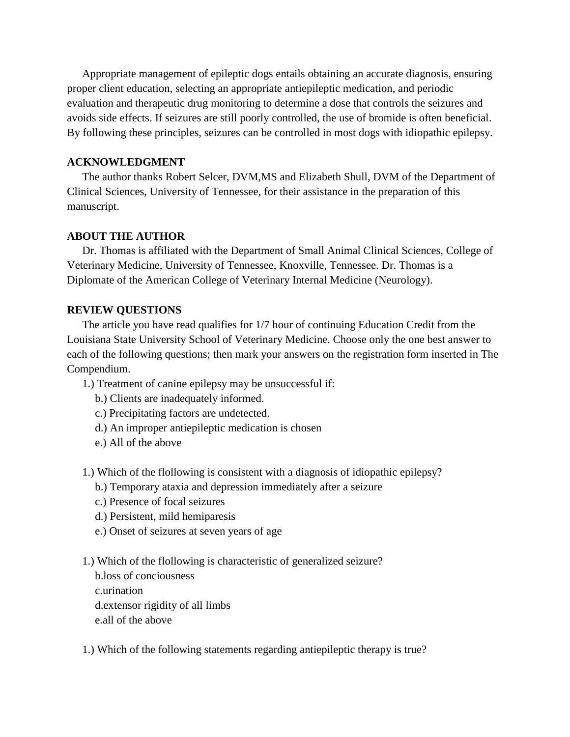Appropriate management of epileptic dogs entails obtaining an accurate diagnosis, ensuring proper client education, selecting an appropriate antiepileptic medication, and periodic evaluation and therapeutic drug monitoring to determine a dose that controls the seizures and avoids side effects. If seizures are still poorly controlled, the use of bromide is often beneficial. By following these principles, seizures can be controlled in most dogs with idiopathic epilepsy.

#### **ACKNOWLEDGMENT**

The author thanks Robert Selcer, DVM,MS and Elizabeth Shull, DVM of the Department of Clinical Sciences, University of Tennessee, for their assistance in the preparation of this manuscript.

#### **ABOUT THE AUTHOR**

Dr. Thomas is affiliated with the Department of Small Animal Clinical Sciences, College of Veterinary Medicine, University of Tennessee, Knoxville, Tennessee. Dr. Thomas is a Diplomate of the American College of Veterinary Internal Medicine (Neurology).

#### **REVIEW QUESTIONS**

The article you have read qualifies for 1/7 hour of continuing Education Credit from the Louisiana State University School of Veterinary Medicine. Choose only the one best answer to each of the following questions; then mark your answers on the registration form inserted in The Compendium.

- 1.) Treatment of canine epilepsy may be unsuccessful if:
	- b.) Clients are inadequately informed.
	- c.) Precipitating factors are undetected.
	- d.) An improper antiepileptic medication is chosen
	- e.) All of the above
- 1.) Which of the flollowing is consistent with a diagnosis of idiopathic epilepsy?
	- b.) Temporary ataxia and depression immediately after a seizure
	- c.) Presence of focal seizures
	- d.) Persistent, mild hemiparesis
	- e.) Onset of seizures at seven years of age
- 1.) Which of the flollowing is characteristic of generalized seizure?

b.loss of conciousness c.urination d.extensor rigidity of all limbs e.all of the above

1.) Which of the following statements regarding antiepileptic therapy is true?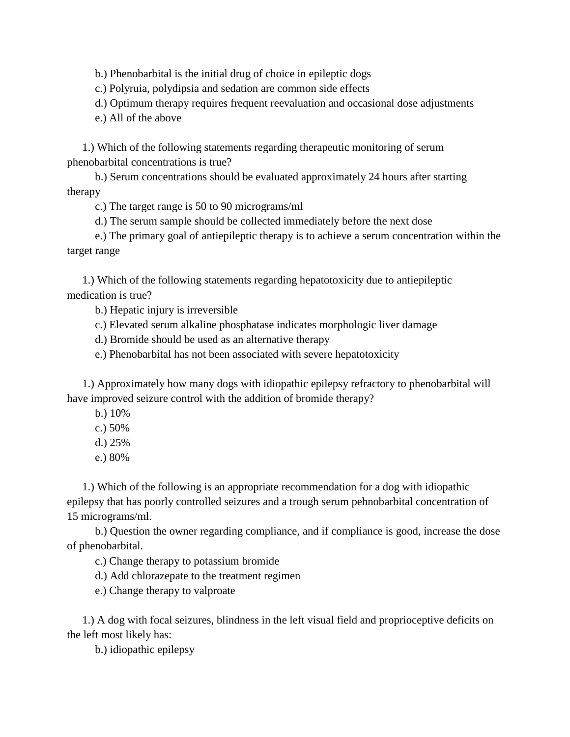b.) Phenobarbital is the initial drug of choice in epileptic dogs

c.) Polyruia, polydipsia and sedation are common side effects

d.) Optimum therapy requires frequent reevaluation and occasional dose adjustments

e.) All of the above

1.) Which of the following statements regarding therapeutic monitoring of serum phenobarbital concentrations is true?

b.) Serum concentrations should be evaluated approximately 24 hours after starting therapy

c.) The target range is 50 to 90 micrograms/ml

d.) The serum sample should be collected immediately before the next dose

e.) The primary goal of antiepileptic therapy is to achieve a serum concentration within the target range

1.) Which of the following statements regarding hepatotoxicity due to antiepileptic medication is true?

b.) Hepatic injury is irreversible

c.) Elevated serum alkaline phosphatase indicates morphologic liver damage

d.) Bromide should be used as an alternative therapy

e.) Phenobarbital has not been associated with severe hepatotoxicity

1.) Approximately how many dogs with idiopathic epilepsy refractory to phenobarbital will have improved seizure control with the addition of bromide therapy?

b.) 10%

- c.) 50%
- d.) 25%
- e.) 80%

1.) Which of the following is an appropriate recommendation for a dog with idiopathic epilepsy that has poorly controlled seizures and a trough serum pehnobarbital concentration of 15 micrograms/ml.

b.) Question the owner regarding compliance, and if compliance is good, increase the dose of phenobarbital.

c.) Change therapy to potassium bromide

d.) Add chlorazepate to the treatment regimen

e.) Change therapy to valproate

1.) A dog with focal seizures, blindness in the left visual field and proprioceptive deficits on the left most likely has:

b.) idiopathic epilepsy